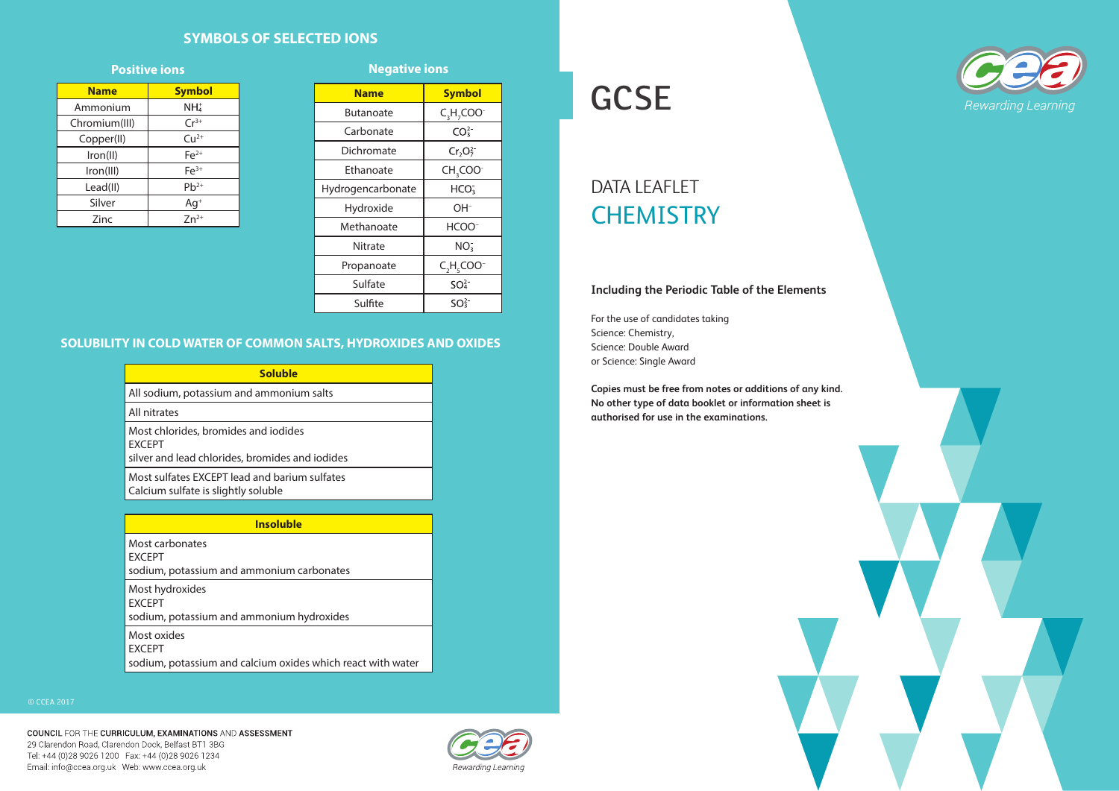| <b>Name</b>       | <b>Symbol</b>                |
|-------------------|------------------------------|
| <b>Butanoate</b>  | $C_3H_7COO^{-1}$             |
| Carbonate         | CO <sub>3</sub> <sup>2</sup> |
| Dichromate        | $Cr_2O_7^{2-}$               |
| Ethanoate         | CH <sub>3</sub> COO-         |
| Hydrogencarbonate | HCO <sub>3</sub>             |
| Hydroxide         | OH-                          |
| Methanoate        | HCOO-                        |
| <b>Nitrate</b>    | NO <sub>3</sub>              |
| Propanoate        | $C_2H_5COO^-$                |
| Sulfate           | SO <sub>4</sub> <sup>2</sup> |
| Sulfite           | SO <sub>3</sub> <sup>2</sup> |

## DATA LEAFLET **CHEMISTRY**

### © CCEA 2017

COUNCIL FOR THE CURRICULUM, EXAMINATIONS AND ASSESSMENT 29 Clarendon Road, Clarendon Dock, Belfast BT1 3BG Tel: +44 (0)28 9026 1200 Fax: +44 (0)28 9026 1234 







### **Including the Periodic Table of the Elements**

For the use of candidates taking Science: Chemistry, Science: Double Award or Science: Single Award

**Copies must be free from notes or additions of any kind. No other type of data booklet or information sheet is authorised for use in the examinations.**



| <b>Name</b>   | <b>Symbol</b>   |
|---------------|-----------------|
| Ammonium      | NH <sub>4</sub> |
| Chromium(III) | $Cr^{3+}$       |
| Copper(II)    | $Cu2+$          |
| Iron(II)      | $Fe2+$          |
| Iron(III)     | $Fe3+$          |
| Lead(II)      | $Pb^{2+}$       |
| Silver        | Aq+             |
| Zinc          | $Zn^{2+}$       |

### **Positive ions Negative ions**

### **SYMBOLS OF SELECTED IONS**

### **SOLUBILITY IN COLD WATER OF COMMON SALTS, HYDROXIDES AND OXIDES**

| <b>Soluble</b>                                                                                           |
|----------------------------------------------------------------------------------------------------------|
| All sodium, potassium and ammonium salts                                                                 |
| All nitrates                                                                                             |
| Most chlorides, bromides and iodides<br><b>EXCEPT</b><br>silver and lead chlorides, bromides and iodides |
| Most sulfates EXCEPT lead and barium sulfates<br>Calcium sulfate is slightly soluble                     |
|                                                                                                          |

### **Insoluble**

| Most carbonates<br><b>EXCEPT</b><br>sodium, potassium and ammonium carbonates |
|-------------------------------------------------------------------------------|
| Most hydroxides<br><b>EXCEPT</b><br>sodium, potassium and ammonium hydroxides |
| Most oxides<br><b>EXCEPT</b>                                                  |

sodium, potassium and calcium oxides which react with water

# **GCSE**